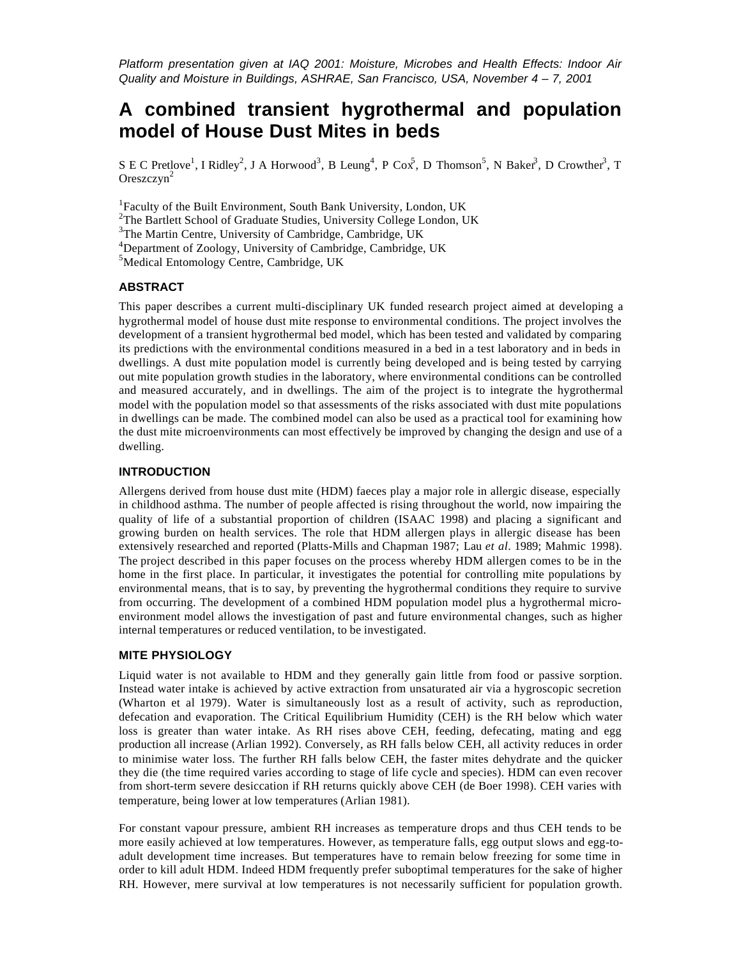*Platform presentation given at IAQ 2001: Moisture, Microbes and Health Effects: Indoor Air Quality and Moisture in Buildings, ASHRAE, San Francisco, USA, November 4 – 7, 2001*

# **A combined transient hygrothermal and population model of House Dust Mites in beds**

S E C Pretlove<sup>1</sup>, I Ridley<sup>2</sup>, J A Horwood<sup>3</sup>, B Leung<sup>4</sup>, P Cox<sup>5</sup>, D Thomson<sup>5</sup>, N Baker<sup>3</sup>, D Crowther<sup>3</sup>, T Oreszczyn<sup>2</sup>

<sup>1</sup>Faculty of the Built Environment, South Bank University, London, UK

<sup>2</sup>The Bartlett School of Graduate Studies, University College London, UK

<sup>3</sup>The Martin Centre, University of Cambridge, Cambridge, UK

<sup>4</sup>Department of Zoology, University of Cambridge, Cambridge, UK

<sup>5</sup>Medical Entomology Centre, Cambridge, UK

#### **ABSTRACT**

This paper describes a current multi-disciplinary UK funded research project aimed at developing a hygrothermal model of house dust mite response to environmental conditions. The project involves the development of a transient hygrothermal bed model, which has been tested and validated by comparing its predictions with the environmental conditions measured in a bed in a test laboratory and in beds in dwellings. A dust mite population model is currently being developed and is being tested by carrying out mite population growth studies in the laboratory, where environmental conditions can be controlled and measured accurately, and in dwellings. The aim of the project is to integrate the hygrothermal model with the population model so that assessments of the risks associated with dust mite populations in dwellings can be made. The combined model can also be used as a practical tool for examining how the dust mite microenvironments can most effectively be improved by changing the design and use of a dwelling.

#### **INTRODUCTION**

Allergens derived from house dust mite (HDM) faeces play a major role in allergic disease, especially in childhood asthma. The number of people affected is rising throughout the world, now impairing the quality of life of a substantial proportion of children (ISAAC 1998) and placing a significant and growing burden on health services. The role that HDM allergen plays in allergic disease has been extensively researched and reported (Platts-Mills and Chapman 1987; Lau *et al*. 1989; Mahmic 1998). The project described in this paper focuses on the process whereby HDM allergen comes to be in the home in the first place. In particular, it investigates the potential for controlling mite populations by environmental means, that is to say, by preventing the hygrothermal conditions they require to survive from occurring. The development of a combined HDM population model plus a hygrothermal microenvironment model allows the investigation of past and future environmental changes, such as higher internal temperatures or reduced ventilation, to be investigated.

#### **MITE PHYSIOLOGY**

Liquid water is not available to HDM and they generally gain little from food or passive sorption. Instead water intake is achieved by active extraction from unsaturated air via a hygroscopic secretion (Wharton et al 1979). Water is simultaneously lost as a result of activity, such as reproduction, defecation and evaporation. The Critical Equilibrium Humidity (CEH) is the RH below which water loss is greater than water intake. As RH rises above CEH, feeding, defecating, mating and egg production all increase (Arlian 1992). Conversely, as RH falls below CEH, all activity reduces in order to minimise water loss. The further RH falls below CEH, the faster mites dehydrate and the quicker they die (the time required varies according to stage of life cycle and species). HDM can even recover from short-term severe desiccation if RH returns quickly above CEH (de Boer 1998). CEH varies with temperature, being lower at low temperatures (Arlian 1981).

For constant vapour pressure, ambient RH increases as temperature drops and thus CEH tends to be more easily achieved at low temperatures. However, as temperature falls, egg output slows and egg-toadult development time increases. But temperatures have to remain below freezing for some time in order to kill adult HDM. Indeed HDM frequently prefer suboptimal temperatures for the sake of higher RH. However, mere survival at low temperatures is not necessarily sufficient for population growth.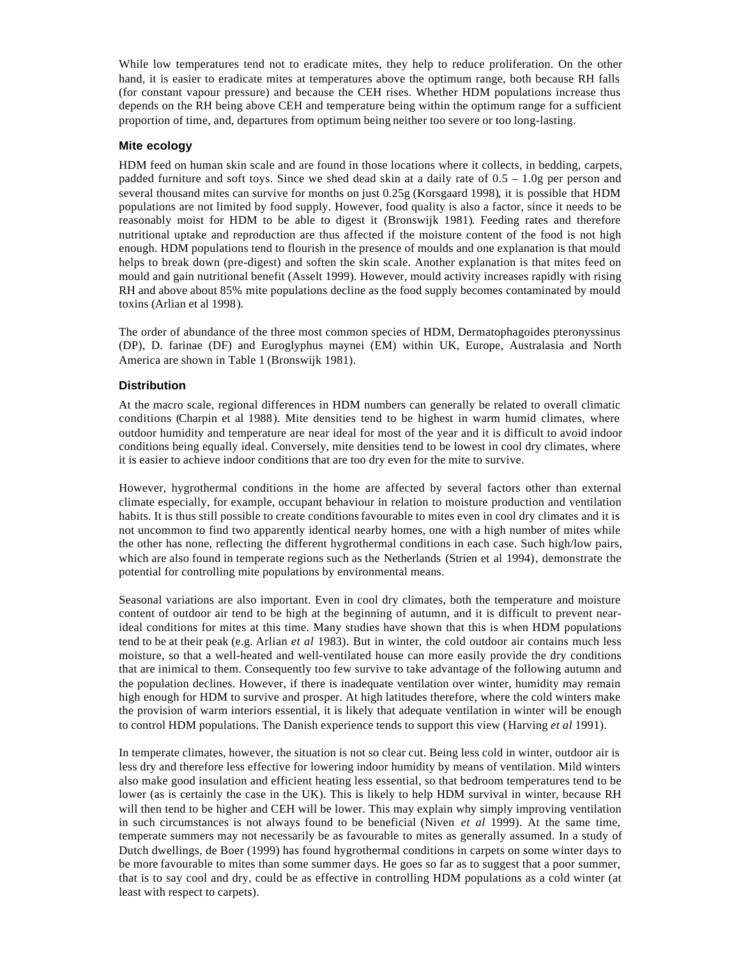While low temperatures tend not to eradicate mites, they help to reduce proliferation. On the other hand, it is easier to eradicate mites at temperatures above the optimum range, both because RH falls (for constant vapour pressure) and because the CEH rises. Whether HDM populations increase thus depends on the RH being above CEH and temperature being within the optimum range for a sufficient proportion of time, and, departures from optimum being neither too severe or too long-lasting.

#### **Mite ecology**

HDM feed on human skin scale and are found in those locations where it collects, in bedding, carpets, padded furniture and soft toys. Since we shed dead skin at a daily rate of 0.5 – 1.0g per person and several thousand mites can survive for months on just 0.25g (Korsgaard 1998), it is possible that HDM populations are not limited by food supply. However, food quality is also a factor, since it needs to be reasonably moist for HDM to be able to digest it (Bronswijk 1981). Feeding rates and therefore nutritional uptake and reproduction are thus affected if the moisture content of the food is not high enough. HDM populations tend to flourish in the presence of moulds and one explanation is that mould helps to break down (pre-digest) and soften the skin scale. Another explanation is that mites feed on mould and gain nutritional benefit (Asselt 1999). However, mould activity increases rapidly with rising RH and above about 85% mite populations decline as the food supply becomes contaminated by mould toxins (Arlian et al 1998).

The order of abundance of the three most common species of HDM, Dermatophagoides pteronyssinus (DP), D. farinae (DF) and Euroglyphus maynei (EM) within UK, Europe, Australasia and North America are shown in Table 1 (Bronswijk 1981).

#### **Distribution**

At the macro scale, regional differences in HDM numbers can generally be related to overall climatic conditions (Charpin et al 1988). Mite densities tend to be highest in warm humid climates, where outdoor humidity and temperature are near ideal for most of the year and it is difficult to avoid indoor conditions being equally ideal. Conversely, mite densities tend to be lowest in cool dry climates, where it is easier to achieve indoor conditions that are too dry even for the mite to survive.

However, hygrothermal conditions in the home are affected by several factors other than external climate especially, for example, occupant behaviour in relation to moisture production and ventilation habits. It is thus still possible to create conditions favourable to mites even in cool dry climates and it is not uncommon to find two apparently identical nearby homes, one with a high number of mites while the other has none, reflecting the different hygrothermal conditions in each case. Such high/low pairs, which are also found in temperate regions such as the Netherlands (Strien et al 1994), demonstrate the potential for controlling mite populations by environmental means.

Seasonal variations are also important. Even in cool dry climates, both the temperature and moisture content of outdoor air tend to be high at the beginning of autumn, and it is difficult to prevent nearideal conditions for mites at this time. Many studies have shown that this is when HDM populations tend to be at their peak (e.g. Arlian *et al* 1983). But in winter, the cold outdoor air contains much less moisture, so that a well-heated and well-ventilated house can more easily provide the dry conditions that are inimical to them. Consequently too few survive to take advantage of the following autumn and the population declines. However, if there is inadequate ventilation over winter, humidity may remain high enough for HDM to survive and prosper. At high latitudes therefore, where the cold winters make the provision of warm interiors essential, it is likely that adequate ventilation in winter will be enough to control HDM populations. The Danish experience tends to support this view (Harving *et al* 1991).

In temperate climates, however, the situation is not so clear cut. Being less cold in winter, outdoor air is less dry and therefore less effective for lowering indoor humidity by means of ventilation. Mild winters also make good insulation and efficient heating less essential, so that bedroom temperatures tend to be lower (as is certainly the case in the UK). This is likely to help HDM survival in winter, because RH will then tend to be higher and CEH will be lower. This may explain why simply improving ventilation in such circumstances is not always found to be beneficial (Niven *et al* 1999). At the same time, temperate summers may not necessarily be as favourable to mites as generally assumed. In a study of Dutch dwellings, de Boer (1999) has found hygrothermal conditions in carpets on some winter days to be more favourable to mites than some summer days. He goes so far as to suggest that a poor summer, that is to say cool and dry, could be as effective in controlling HDM populations as a cold winter (at least with respect to carpets).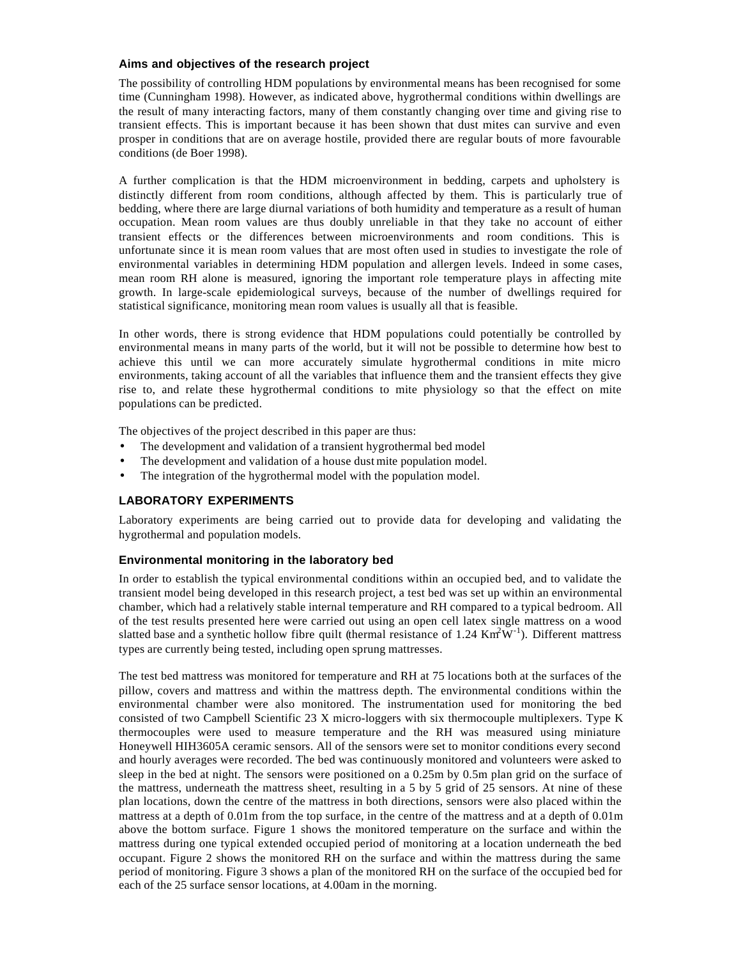#### **Aims and objectives of the research project**

The possibility of controlling HDM populations by environmental means has been recognised for some time (Cunningham 1998). However, as indicated above, hygrothermal conditions within dwellings are the result of many interacting factors, many of them constantly changing over time and giving rise to transient effects. This is important because it has been shown that dust mites can survive and even prosper in conditions that are on average hostile, provided there are regular bouts of more favourable conditions (de Boer 1998).

A further complication is that the HDM microenvironment in bedding, carpets and upholstery is distinctly different from room conditions, although affected by them. This is particularly true of bedding, where there are large diurnal variations of both humidity and temperature as a result of human occupation. Mean room values are thus doubly unreliable in that they take no account of either transient effects or the differences between microenvironments and room conditions. This is unfortunate since it is mean room values that are most often used in studies to investigate the role of environmental variables in determining HDM population and allergen levels. Indeed in some cases, mean room RH alone is measured, ignoring the important role temperature plays in affecting mite growth. In large-scale epidemiological surveys, because of the number of dwellings required for statistical significance, monitoring mean room values is usually all that is feasible.

In other words, there is strong evidence that HDM populations could potentially be controlled by environmental means in many parts of the world, but it will not be possible to determine how best to achieve this until we can more accurately simulate hygrothermal conditions in mite micro environments, taking account of all the variables that influence them and the transient effects they give rise to, and relate these hygrothermal conditions to mite physiology so that the effect on mite populations can be predicted.

The objectives of the project described in this paper are thus:

- The development and validation of a transient hygrothermal bed model
- The development and validation of a house dust mite population model.
- The integration of the hygrothermal model with the population model.

# **LABORATORY EXPERIMENTS**

Laboratory experiments are being carried out to provide data for developing and validating the hygrothermal and population models.

## **Environmental monitoring in the laboratory bed**

In order to establish the typical environmental conditions within an occupied bed, and to validate the transient model being developed in this research project, a test bed was set up within an environmental chamber, which had a relatively stable internal temperature and RH compared to a typical bedroom. All of the test results presented here were carried out using an open cell latex single mattress on a wood slatted base and a synthetic hollow fibre quilt (thermal resistance of 1.24 Km<sup>2</sup>W<sup>-1</sup>). Different mattress types are currently being tested, including open sprung mattresses.

The test bed mattress was monitored for temperature and RH at 75 locations both at the surfaces of the pillow, covers and mattress and within the mattress depth. The environmental conditions within the environmental chamber were also monitored. The instrumentation used for monitoring the bed consisted of two Campbell Scientific 23 X micro-loggers with six thermocouple multiplexers. Type K thermocouples were used to measure temperature and the RH was measured using miniature Honeywell HIH3605A ceramic sensors. All of the sensors were set to monitor conditions every second and hourly averages were recorded. The bed was continuously monitored and volunteers were asked to sleep in the bed at night. The sensors were positioned on a 0.25m by 0.5m plan grid on the surface of the mattress, underneath the mattress sheet, resulting in a 5 by 5 grid of 25 sensors. At nine of these plan locations, down the centre of the mattress in both directions, sensors were also placed within the mattress at a depth of 0.01m from the top surface, in the centre of the mattress and at a depth of 0.01m above the bottom surface. Figure 1 shows the monitored temperature on the surface and within the mattress during one typical extended occupied period of monitoring at a location underneath the bed occupant. Figure 2 shows the monitored RH on the surface and within the mattress during the same period of monitoring. Figure 3 shows a plan of the monitored RH on the surface of the occupied bed for each of the 25 surface sensor locations, at 4.00am in the morning.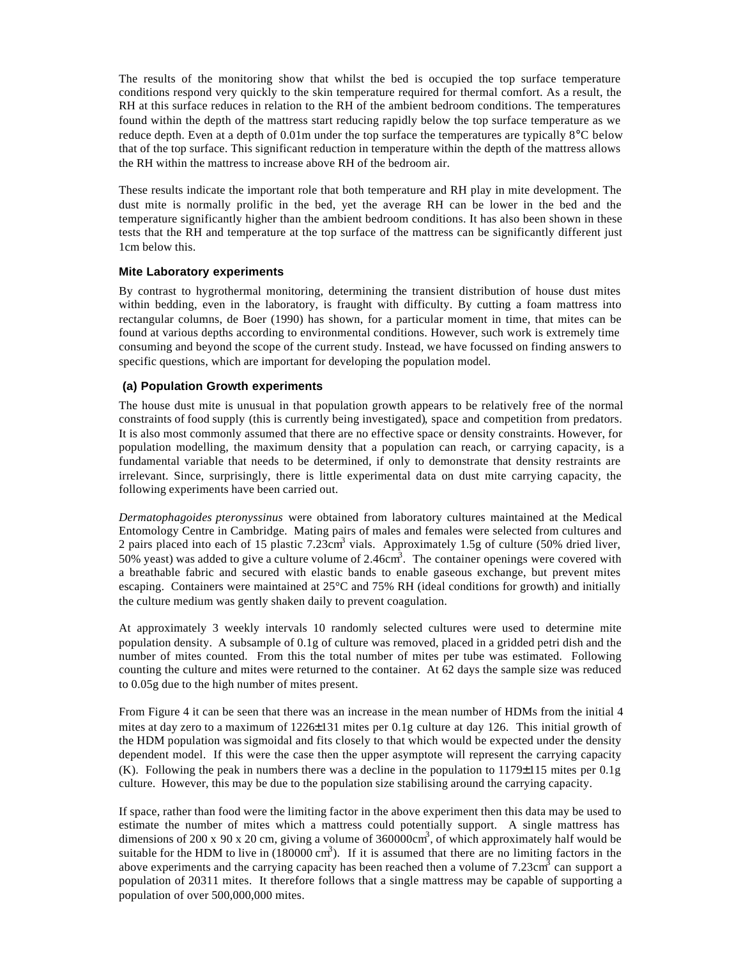The results of the monitoring show that whilst the bed is occupied the top surface temperature conditions respond very quickly to the skin temperature required for thermal comfort. As a result, the RH at this surface reduces in relation to the RH of the ambient bedroom conditions. The temperatures found within the depth of the mattress start reducing rapidly below the top surface temperature as we reduce depth. Even at a depth of 0.01m under the top surface the temperatures are typically 8°C below that of the top surface. This significant reduction in temperature within the depth of the mattress allows the RH within the mattress to increase above RH of the bedroom air.

These results indicate the important role that both temperature and RH play in mite development. The dust mite is normally prolific in the bed, yet the average RH can be lower in the bed and the temperature significantly higher than the ambient bedroom conditions. It has also been shown in these tests that the RH and temperature at the top surface of the mattress can be significantly different just 1cm below this.

#### **Mite Laboratory experiments**

By contrast to hygrothermal monitoring, determining the transient distribution of house dust mites within bedding, even in the laboratory, is fraught with difficulty. By cutting a foam mattress into rectangular columns, de Boer (1990) has shown, for a particular moment in time, that mites can be found at various depths according to environmental conditions. However, such work is extremely time consuming and beyond the scope of the current study. Instead, we have focussed on finding answers to specific questions, which are important for developing the population model.

#### **(a) Population Growth experiments**

The house dust mite is unusual in that population growth appears to be relatively free of the normal constraints of food supply (this is currently being investigated), space and competition from predators. It is also most commonly assumed that there are no effective space or density constraints. However, for population modelling, the maximum density that a population can reach, or carrying capacity, is a fundamental variable that needs to be determined, if only to demonstrate that density restraints are irrelevant. Since, surprisingly, there is little experimental data on dust mite carrying capacity, the following experiments have been carried out.

*Dermatophagoides pteronyssinus* were obtained from laboratory cultures maintained at the Medical Entomology Centre in Cambridge. Mating pairs of males and females were selected from cultures and 2 pairs placed into each of 15 plastic 7.23cm<sup>3</sup> vials. Approximately 1.5g of culture (50% dried liver, 50% yeast) was added to give a culture volume of 2.46 $\text{cm}^3$ . The container openings were covered with a breathable fabric and secured with elastic bands to enable gaseous exchange, but prevent mites escaping. Containers were maintained at 25°C and 75% RH (ideal conditions for growth) and initially the culture medium was gently shaken daily to prevent coagulation.

At approximately 3 weekly intervals 10 randomly selected cultures were used to determine mite population density. A subsample of 0.1g of culture was removed, placed in a gridded petri dish and the number of mites counted. From this the total number of mites per tube was estimated. Following counting the culture and mites were returned to the container. At 62 days the sample size was reduced to 0.05g due to the high number of mites present.

From Figure 4 it can be seen that there was an increase in the mean number of HDMs from the initial 4 mites at day zero to a maximum of 1226±131 mites per 0.1g culture at day 126. This initial growth of the HDM population was sigmoidal and fits closely to that which would be expected under the density dependent model. If this were the case then the upper asymptote will represent the carrying capacity (K). Following the peak in numbers there was a decline in the population to  $1179\pm115$  mites per 0.1g culture. However, this may be due to the population size stabilising around the carrying capacity.

If space, rather than food were the limiting factor in the above experiment then this data may be used to estimate the number of mites which a mattress could potentially support. A single mattress has dimensions of 200 x 90 x 20 cm, giving a volume of  $360000 \text{cm}^3$ , of which approximately half would be suitable for the HDM to live in  $(180000 \text{ cm}^3)$ . If it is assumed that there are no limiting factors in the above experiments and the carrying capacity has been reached then a volume of  $7.23 \text{cm}^3$  can support a population of 20311 mites. It therefore follows that a single mattress may be capable of supporting a population of over 500,000,000 mites.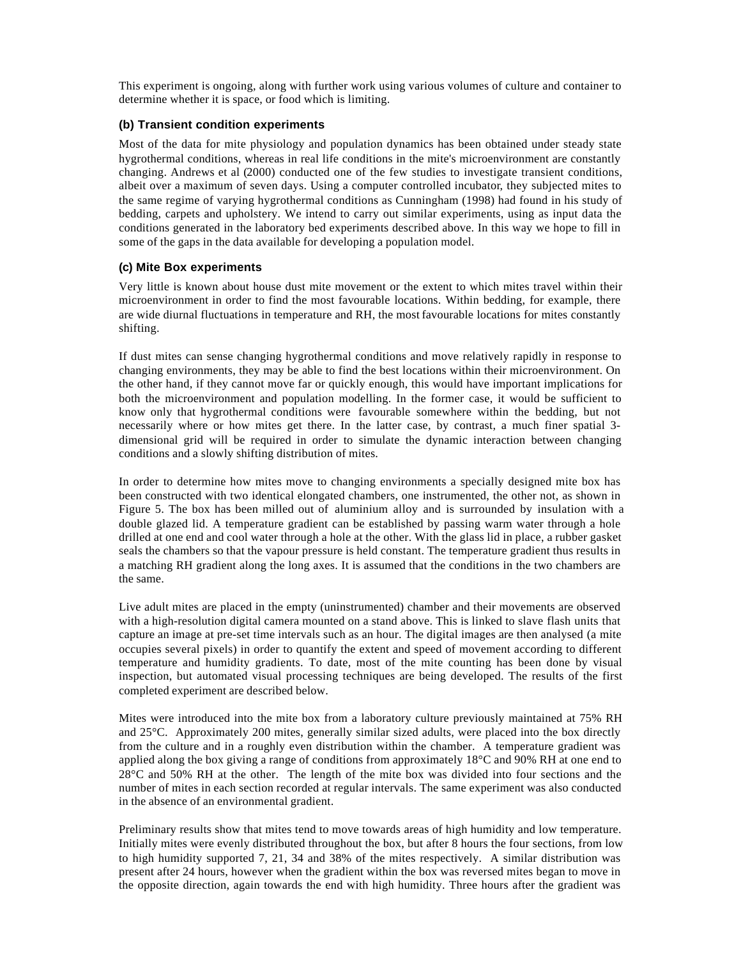This experiment is ongoing, along with further work using various volumes of culture and container to determine whether it is space, or food which is limiting.

## **(b) Transient condition experiments**

Most of the data for mite physiology and population dynamics has been obtained under steady state hygrothermal conditions, whereas in real life conditions in the mite's microenvironment are constantly changing. Andrews et al (2000) conducted one of the few studies to investigate transient conditions, albeit over a maximum of seven days. Using a computer controlled incubator, they subjected mites to the same regime of varying hygrothermal conditions as Cunningham (1998) had found in his study of bedding, carpets and upholstery. We intend to carry out similar experiments, using as input data the conditions generated in the laboratory bed experiments described above. In this way we hope to fill in some of the gaps in the data available for developing a population model.

#### **(c) Mite Box experiments**

Very little is known about house dust mite movement or the extent to which mites travel within their microenvironment in order to find the most favourable locations. Within bedding, for example, there are wide diurnal fluctuations in temperature and RH, the most favourable locations for mites constantly shifting.

If dust mites can sense changing hygrothermal conditions and move relatively rapidly in response to changing environments, they may be able to find the best locations within their microenvironment. On the other hand, if they cannot move far or quickly enough, this would have important implications for both the microenvironment and population modelling. In the former case, it would be sufficient to know only that hygrothermal conditions were favourable somewhere within the bedding, but not necessarily where or how mites get there. In the latter case, by contrast, a much finer spatial 3 dimensional grid will be required in order to simulate the dynamic interaction between changing conditions and a slowly shifting distribution of mites.

In order to determine how mites move to changing environments a specially designed mite box has been constructed with two identical elongated chambers, one instrumented, the other not, as shown in Figure 5. The box has been milled out of aluminium alloy and is surrounded by insulation with a double glazed lid. A temperature gradient can be established by passing warm water through a hole drilled at one end and cool water through a hole at the other. With the glass lid in place, a rubber gasket seals the chambers so that the vapour pressure is held constant. The temperature gradient thus results in a matching RH gradient along the long axes. It is assumed that the conditions in the two chambers are the same.

Live adult mites are placed in the empty (uninstrumented) chamber and their movements are observed with a high-resolution digital camera mounted on a stand above. This is linked to slave flash units that capture an image at pre-set time intervals such as an hour. The digital images are then analysed (a mite occupies several pixels) in order to quantify the extent and speed of movement according to different temperature and humidity gradients. To date, most of the mite counting has been done by visual inspection, but automated visual processing techniques are being developed. The results of the first completed experiment are described below.

Mites were introduced into the mite box from a laboratory culture previously maintained at 75% RH and 25°C. Approximately 200 mites, generally similar sized adults, were placed into the box directly from the culture and in a roughly even distribution within the chamber. A temperature gradient was applied along the box giving a range of conditions from approximately 18°C and 90% RH at one end to 28°C and 50% RH at the other. The length of the mite box was divided into four sections and the number of mites in each section recorded at regular intervals. The same experiment was also conducted in the absence of an environmental gradient.

Preliminary results show that mites tend to move towards areas of high humidity and low temperature. Initially mites were evenly distributed throughout the box, but after 8 hours the four sections, from low to high humidity supported 7, 21, 34 and 38% of the mites respectively. A similar distribution was present after 24 hours, however when the gradient within the box was reversed mites began to move in the opposite direction, again towards the end with high humidity. Three hours after the gradient was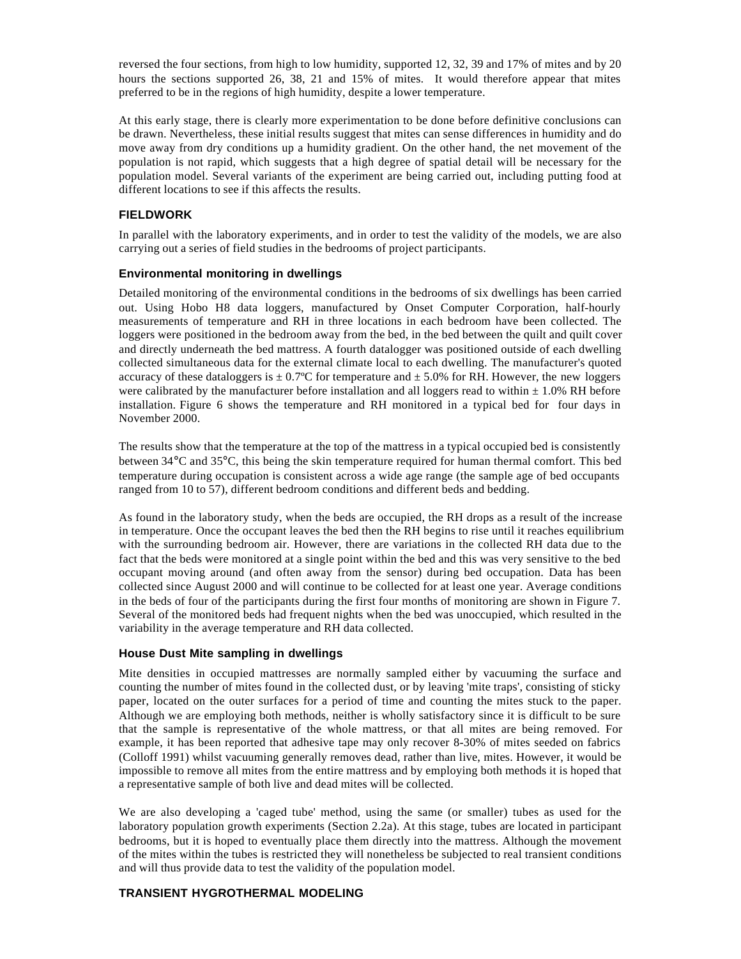reversed the four sections, from high to low humidity, supported 12, 32, 39 and 17% of mites and by 20 hours the sections supported 26, 38, 21 and 15% of mites. It would therefore appear that mites preferred to be in the regions of high humidity, despite a lower temperature.

At this early stage, there is clearly more experimentation to be done before definitive conclusions can be drawn. Nevertheless, these initial results suggest that mites can sense differences in humidity and do move away from dry conditions up a humidity gradient. On the other hand, the net movement of the population is not rapid, which suggests that a high degree of spatial detail will be necessary for the population model. Several variants of the experiment are being carried out, including putting food at different locations to see if this affects the results.

## **FIELDWORK**

In parallel with the laboratory experiments, and in order to test the validity of the models, we are also carrying out a series of field studies in the bedrooms of project participants.

## **Environmental monitoring in dwellings**

Detailed monitoring of the environmental conditions in the bedrooms of six dwellings has been carried out. Using Hobo H8 data loggers, manufactured by Onset Computer Corporation, half-hourly measurements of temperature and RH in three locations in each bedroom have been collected. The loggers were positioned in the bedroom away from the bed, in the bed between the quilt and quilt cover and directly underneath the bed mattress. A fourth datalogger was positioned outside of each dwelling collected simultaneous data for the external climate local to each dwelling. The manufacturer's quoted accuracy of these dataloggers is  $\pm 0.7^{\circ}$ C for temperature and  $\pm 5.0\%$  for RH. However, the new loggers were calibrated by the manufacturer before installation and all loggers read to within  $\pm$  1.0% RH before installation. Figure 6 shows the temperature and RH monitored in a typical bed for four days in November 2000.

The results show that the temperature at the top of the mattress in a typical occupied bed is consistently between 34°C and 35°C, this being the skin temperature required for human thermal comfort. This bed temperature during occupation is consistent across a wide age range (the sample age of bed occupants ranged from 10 to 57), different bedroom conditions and different beds and bedding.

As found in the laboratory study, when the beds are occupied, the RH drops as a result of the increase in temperature. Once the occupant leaves the bed then the RH begins to rise until it reaches equilibrium with the surrounding bedroom air. However, there are variations in the collected RH data due to the fact that the beds were monitored at a single point within the bed and this was very sensitive to the bed occupant moving around (and often away from the sensor) during bed occupation. Data has been collected since August 2000 and will continue to be collected for at least one year. Average conditions in the beds of four of the participants during the first four months of monitoring are shown in Figure 7. Several of the monitored beds had frequent nights when the bed was unoccupied, which resulted in the variability in the average temperature and RH data collected.

## **House Dust Mite sampling in dwellings**

Mite densities in occupied mattresses are normally sampled either by vacuuming the surface and counting the number of mites found in the collected dust, or by leaving 'mite traps', consisting of sticky paper, located on the outer surfaces for a period of time and counting the mites stuck to the paper. Although we are employing both methods, neither is wholly satisfactory since it is difficult to be sure that the sample is representative of the whole mattress, or that all mites are being removed. For example, it has been reported that adhesive tape may only recover 8-30% of mites seeded on fabrics (Colloff 1991) whilst vacuuming generally removes dead, rather than live, mites. However, it would be impossible to remove all mites from the entire mattress and by employing both methods it is hoped that a representative sample of both live and dead mites will be collected.

We are also developing a 'caged tube' method, using the same (or smaller) tubes as used for the laboratory population growth experiments (Section 2.2a). At this stage, tubes are located in participant bedrooms, but it is hoped to eventually place them directly into the mattress. Although the movement of the mites within the tubes is restricted they will nonetheless be subjected to real transient conditions and will thus provide data to test the validity of the population model.

# **TRANSIENT HYGROTHERMAL MODELING**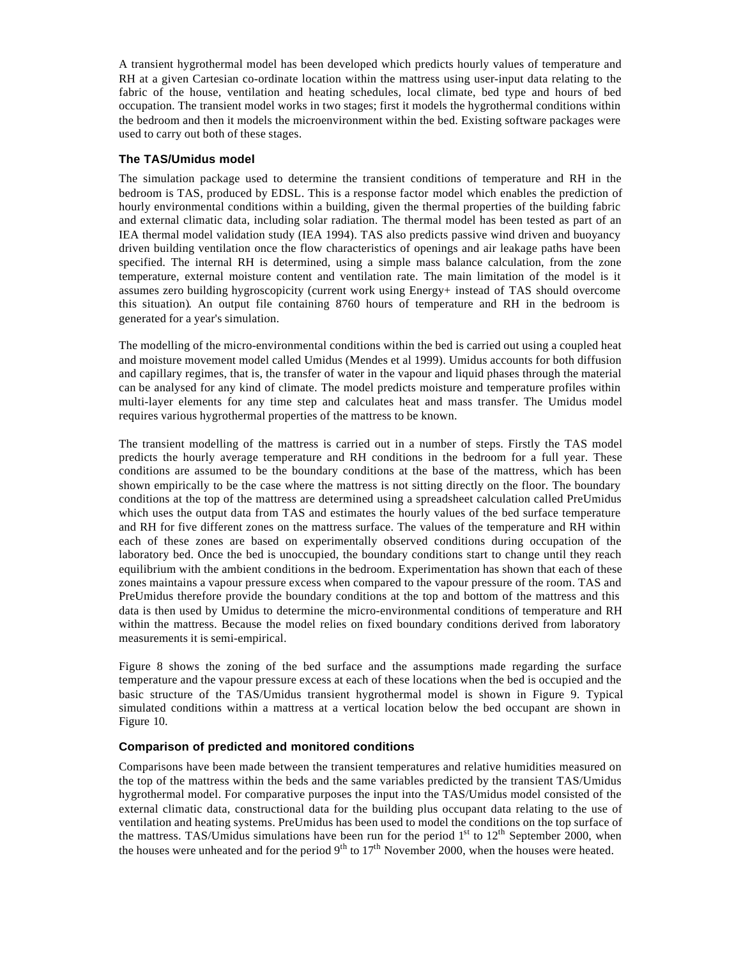A transient hygrothermal model has been developed which predicts hourly values of temperature and RH at a given Cartesian co-ordinate location within the mattress using user-input data relating to the fabric of the house, ventilation and heating schedules, local climate, bed type and hours of bed occupation. The transient model works in two stages; first it models the hygrothermal conditions within the bedroom and then it models the microenvironment within the bed. Existing software packages were used to carry out both of these stages.

#### **The TAS/Umidus model**

The simulation package used to determine the transient conditions of temperature and RH in the bedroom is TAS, produced by EDSL. This is a response factor model which enables the prediction of hourly environmental conditions within a building, given the thermal properties of the building fabric and external climatic data, including solar radiation. The thermal model has been tested as part of an IEA thermal model validation study (IEA 1994). TAS also predicts passive wind driven and buoyancy driven building ventilation once the flow characteristics of openings and air leakage paths have been specified. The internal RH is determined, using a simple mass balance calculation, from the zone temperature, external moisture content and ventilation rate. The main limitation of the model is it assumes zero building hygroscopicity (current work using Energy+ instead of TAS should overcome this situation). An output file containing 8760 hours of temperature and RH in the bedroom is generated for a year's simulation.

The modelling of the micro-environmental conditions within the bed is carried out using a coupled heat and moisture movement model called Umidus (Mendes et al 1999). Umidus accounts for both diffusion and capillary regimes, that is, the transfer of water in the vapour and liquid phases through the material can be analysed for any kind of climate. The model predicts moisture and temperature profiles within multi-layer elements for any time step and calculates heat and mass transfer. The Umidus model requires various hygrothermal properties of the mattress to be known.

The transient modelling of the mattress is carried out in a number of steps. Firstly the TAS model predicts the hourly average temperature and RH conditions in the bedroom for a full year. These conditions are assumed to be the boundary conditions at the base of the mattress, which has been shown empirically to be the case where the mattress is not sitting directly on the floor. The boundary conditions at the top of the mattress are determined using a spreadsheet calculation called PreUmidus which uses the output data from TAS and estimates the hourly values of the bed surface temperature and RH for five different zones on the mattress surface. The values of the temperature and RH within each of these zones are based on experimentally observed conditions during occupation of the laboratory bed. Once the bed is unoccupied, the boundary conditions start to change until they reach equilibrium with the ambient conditions in the bedroom. Experimentation has shown that each of these zones maintains a vapour pressure excess when compared to the vapour pressure of the room. TAS and PreUmidus therefore provide the boundary conditions at the top and bottom of the mattress and this data is then used by Umidus to determine the micro-environmental conditions of temperature and RH within the mattress. Because the model relies on fixed boundary conditions derived from laboratory measurements it is semi-empirical.

Figure 8 shows the zoning of the bed surface and the assumptions made regarding the surface temperature and the vapour pressure excess at each of these locations when the bed is occupied and the basic structure of the TAS/Umidus transient hygrothermal model is shown in Figure 9. Typical simulated conditions within a mattress at a vertical location below the bed occupant are shown in Figure 10.

## **Comparison of predicted and monitored conditions**

Comparisons have been made between the transient temperatures and relative humidities measured on the top of the mattress within the beds and the same variables predicted by the transient TAS/Umidus hygrothermal model. For comparative purposes the input into the TAS/Umidus model consisted of the external climatic data, constructional data for the building plus occupant data relating to the use of ventilation and heating systems. PreUmidus has been used to model the conditions on the top surface of the mattress. TAS/Umidus simulations have been run for the period  $1<sup>st</sup>$  to  $12<sup>th</sup>$  September 2000, when the houses were unheated and for the period  $9<sup>th</sup>$  to  $17<sup>th</sup>$  November 2000, when the houses were heated.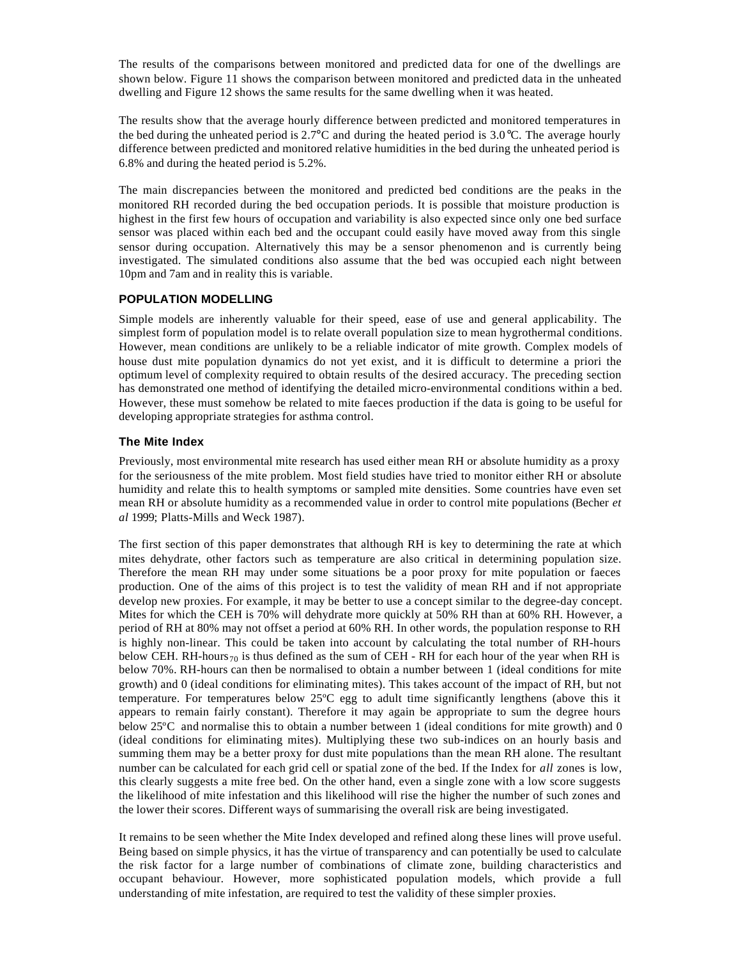The results of the comparisons between monitored and predicted data for one of the dwellings are shown below. Figure 11 shows the comparison between monitored and predicted data in the unheated dwelling and Figure 12 shows the same results for the same dwelling when it was heated.

The results show that the average hourly difference between predicted and monitored temperatures in the bed during the unheated period is 2.7°C and during the heated period is 3.0°C. The average hourly difference between predicted and monitored relative humidities in the bed during the unheated period is 6.8% and during the heated period is 5.2%.

The main discrepancies between the monitored and predicted bed conditions are the peaks in the monitored RH recorded during the bed occupation periods. It is possible that moisture production is highest in the first few hours of occupation and variability is also expected since only one bed surface sensor was placed within each bed and the occupant could easily have moved away from this single sensor during occupation. Alternatively this may be a sensor phenomenon and is currently being investigated. The simulated conditions also assume that the bed was occupied each night between 10pm and 7am and in reality this is variable.

## **POPULATION MODELLING**

Simple models are inherently valuable for their speed, ease of use and general applicability. The simplest form of population model is to relate overall population size to mean hygrothermal conditions. However, mean conditions are unlikely to be a reliable indicator of mite growth. Complex models of house dust mite population dynamics do not yet exist, and it is difficult to determine a priori the optimum level of complexity required to obtain results of the desired accuracy. The preceding section has demonstrated one method of identifying the detailed micro-environmental conditions within a bed. However, these must somehow be related to mite faeces production if the data is going to be useful for developing appropriate strategies for asthma control.

## **The Mite Index**

Previously, most environmental mite research has used either mean RH or absolute humidity as a proxy for the seriousness of the mite problem. Most field studies have tried to monitor either RH or absolute humidity and relate this to health symptoms or sampled mite densities. Some countries have even set mean RH or absolute humidity as a recommended value in order to control mite populations (Becher *et al* 1999; Platts-Mills and Weck 1987).

The first section of this paper demonstrates that although RH is key to determining the rate at which mites dehydrate, other factors such as temperature are also critical in determining population size. Therefore the mean RH may under some situations be a poor proxy for mite population or faeces production. One of the aims of this project is to test the validity of mean RH and if not appropriate develop new proxies. For example, it may be better to use a concept similar to the degree-day concept. Mites for which the CEH is 70% will dehydrate more quickly at 50% RH than at 60% RH. However, a period of RH at 80% may not offset a period at 60% RH. In other words, the population response to RH is highly non-linear. This could be taken into account by calculating the total number of RH-hours below CEH. RH-hours $_{70}$  is thus defined as the sum of CEH - RH for each hour of the year when RH is below 70%. RH-hours can then be normalised to obtain a number between 1 (ideal conditions for mite growth) and 0 (ideal conditions for eliminating mites). This takes account of the impact of RH, but not temperature. For temperatures below 25ºC egg to adult time significantly lengthens (above this it appears to remain fairly constant). Therefore it may again be appropriate to sum the degree hours below 25ºC and normalise this to obtain a number between 1 (ideal conditions for mite growth) and 0 (ideal conditions for eliminating mites). Multiplying these two sub-indices on an hourly basis and summing them may be a better proxy for dust mite populations than the mean RH alone. The resultant number can be calculated for each grid cell or spatial zone of the bed. If the Index for *all* zones is low, this clearly suggests a mite free bed. On the other hand, even a single zone with a low score suggests the likelihood of mite infestation and this likelihood will rise the higher the number of such zones and the lower their scores. Different ways of summarising the overall risk are being investigated.

It remains to be seen whether the Mite Index developed and refined along these lines will prove useful. Being based on simple physics, it has the virtue of transparency and can potentially be used to calculate the risk factor for a large number of combinations of climate zone, building characteristics and occupant behaviour. However, more sophisticated population models, which provide a full understanding of mite infestation, are required to test the validity of these simpler proxies.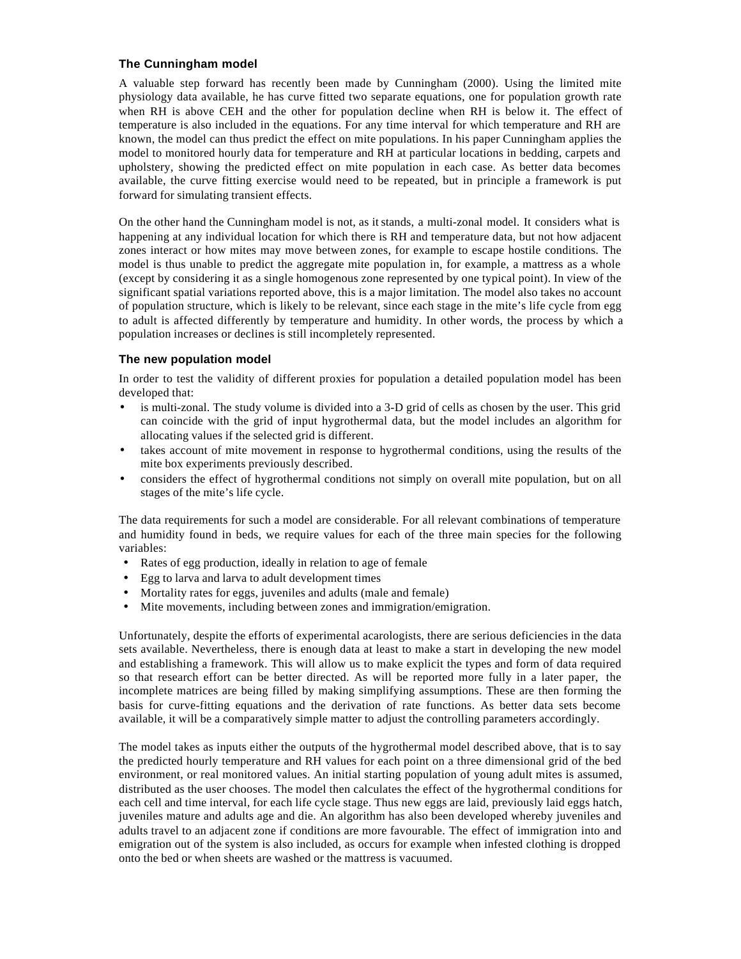## **The Cunningham model**

A valuable step forward has recently been made by Cunningham (2000). Using the limited mite physiology data available, he has curve fitted two separate equations, one for population growth rate when RH is above CEH and the other for population decline when RH is below it. The effect of temperature is also included in the equations. For any time interval for which temperature and RH are known, the model can thus predict the effect on mite populations. In his paper Cunningham applies the model to monitored hourly data for temperature and RH at particular locations in bedding, carpets and upholstery, showing the predicted effect on mite population in each case. As better data becomes available, the curve fitting exercise would need to be repeated, but in principle a framework is put forward for simulating transient effects.

On the other hand the Cunningham model is not, as it stands, a multi-zonal model. It considers what is happening at any individual location for which there is RH and temperature data, but not how adjacent zones interact or how mites may move between zones, for example to escape hostile conditions. The model is thus unable to predict the aggregate mite population in, for example, a mattress as a whole (except by considering it as a single homogenous zone represented by one typical point). In view of the significant spatial variations reported above, this is a major limitation. The model also takes no account of population structure, which is likely to be relevant, since each stage in the mite's life cycle from egg to adult is affected differently by temperature and humidity. In other words, the process by which a population increases or declines is still incompletely represented.

#### **The new population model**

In order to test the validity of different proxies for population a detailed population model has been developed that:

- is multi-zonal. The study volume is divided into a 3-D grid of cells as chosen by the user. This grid can coincide with the grid of input hygrothermal data, but the model includes an algorithm for allocating values if the selected grid is different.
- takes account of mite movement in response to hygrothermal conditions, using the results of the mite box experiments previously described.
- considers the effect of hygrothermal conditions not simply on overall mite population, but on all stages of the mite's life cycle.

The data requirements for such a model are considerable. For all relevant combinations of temperature and humidity found in beds, we require values for each of the three main species for the following variables:

- Rates of egg production, ideally in relation to age of female
- Egg to larva and larva to adult development times
- Mortality rates for eggs, juveniles and adults (male and female)
- Mite movements, including between zones and immigration/emigration.

Unfortunately, despite the efforts of experimental acarologists, there are serious deficiencies in the data sets available. Nevertheless, there is enough data at least to make a start in developing the new model and establishing a framework. This will allow us to make explicit the types and form of data required so that research effort can be better directed. As will be reported more fully in a later paper, the incomplete matrices are being filled by making simplifying assumptions. These are then forming the basis for curve-fitting equations and the derivation of rate functions. As better data sets become available, it will be a comparatively simple matter to adjust the controlling parameters accordingly.

The model takes as inputs either the outputs of the hygrothermal model described above, that is to say the predicted hourly temperature and RH values for each point on a three dimensional grid of the bed environment, or real monitored values. An initial starting population of young adult mites is assumed, distributed as the user chooses. The model then calculates the effect of the hygrothermal conditions for each cell and time interval, for each life cycle stage. Thus new eggs are laid, previously laid eggs hatch, juveniles mature and adults age and die. An algorithm has also been developed whereby juveniles and adults travel to an adjacent zone if conditions are more favourable. The effect of immigration into and emigration out of the system is also included, as occurs for example when infested clothing is dropped onto the bed or when sheets are washed or the mattress is vacuumed.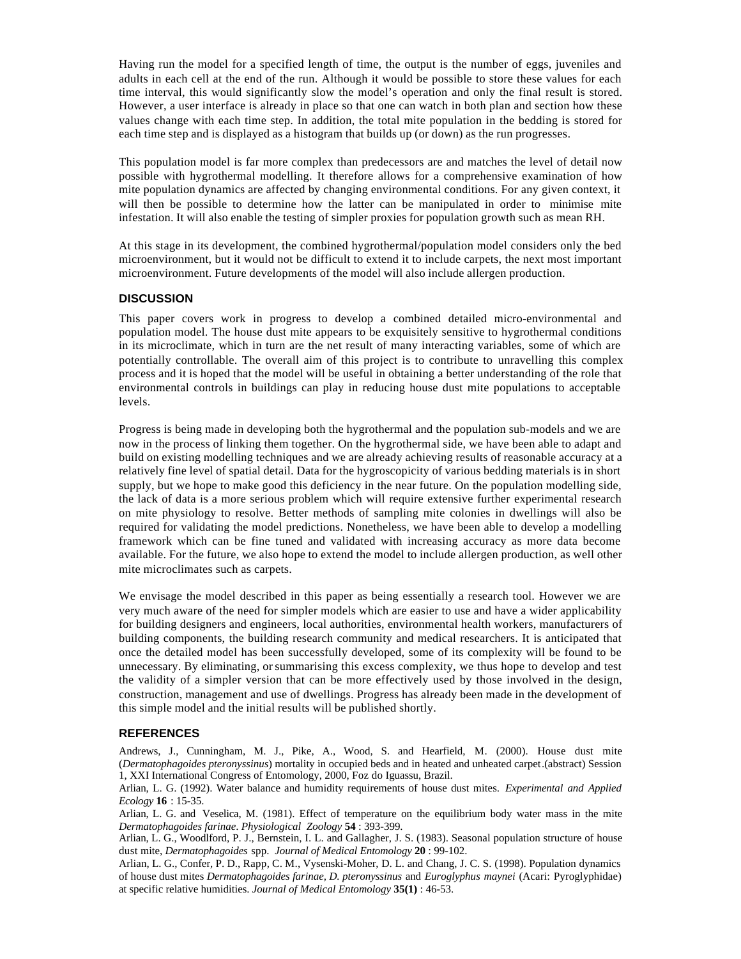Having run the model for a specified length of time, the output is the number of eggs, juveniles and adults in each cell at the end of the run. Although it would be possible to store these values for each time interval, this would significantly slow the model's operation and only the final result is stored. However, a user interface is already in place so that one can watch in both plan and section how these values change with each time step. In addition, the total mite population in the bedding is stored for each time step and is displayed as a histogram that builds up (or down) as the run progresses.

This population model is far more complex than predecessors are and matches the level of detail now possible with hygrothermal modelling. It therefore allows for a comprehensive examination of how mite population dynamics are affected by changing environmental conditions. For any given context, it will then be possible to determine how the latter can be manipulated in order to minimise mite infestation. It will also enable the testing of simpler proxies for population growth such as mean RH.

At this stage in its development, the combined hygrothermal/population model considers only the bed microenvironment, but it would not be difficult to extend it to include carpets, the next most important microenvironment. Future developments of the model will also include allergen production.

#### **DISCUSSION**

This paper covers work in progress to develop a combined detailed micro-environmental and population model. The house dust mite appears to be exquisitely sensitive to hygrothermal conditions in its microclimate, which in turn are the net result of many interacting variables, some of which are potentially controllable. The overall aim of this project is to contribute to unravelling this complex process and it is hoped that the model will be useful in obtaining a better understanding of the role that environmental controls in buildings can play in reducing house dust mite populations to acceptable levels.

Progress is being made in developing both the hygrothermal and the population sub-models and we are now in the process of linking them together. On the hygrothermal side, we have been able to adapt and build on existing modelling techniques and we are already achieving results of reasonable accuracy at a relatively fine level of spatial detail. Data for the hygroscopicity of various bedding materials is in short supply, but we hope to make good this deficiency in the near future. On the population modelling side, the lack of data is a more serious problem which will require extensive further experimental research on mite physiology to resolve. Better methods of sampling mite colonies in dwellings will also be required for validating the model predictions. Nonetheless, we have been able to develop a modelling framework which can be fine tuned and validated with increasing accuracy as more data become available. For the future, we also hope to extend the model to include allergen production, as well other mite microclimates such as carpets.

We envisage the model described in this paper as being essentially a research tool. However we are very much aware of the need for simpler models which are easier to use and have a wider applicability for building designers and engineers, local authorities, environmental health workers, manufacturers of building components, the building research community and medical researchers. It is anticipated that once the detailed model has been successfully developed, some of its complexity will be found to be unnecessary. By eliminating, or summarising this excess complexity, we thus hope to develop and test the validity of a simpler version that can be more effectively used by those involved in the design, construction, management and use of dwellings. Progress has already been made in the development of this simple model and the initial results will be published shortly.

#### **REFERENCES**

Andrews, J., Cunningham, M. J., Pike, A., Wood, S. and Hearfield, M. (2000). House dust mite (*Dermatophagoides pteronyssinus*) mortality in occupied beds and in heated and unheated carpet.(abstract) Session 1, XXI International Congress of Entomology, 2000, Foz do Iguassu, Brazil.

Arlian, L. G. (1992). Water balance and humidity requirements of house dust mites. *Experimental and Applied Ecology* **16** : 15-35.

Arlian, L. G. and Veselica, M. (1981). Effect of temperature on the equilibrium body water mass in the mite *Dermatophagoides farinae*. *Physiological Zoology* **54** : 393-399.

Arlian, L. G., Woodlford, P. J., Bernstein, I. L. and Gallagher, J. S. (1983). Seasonal population structure of house dust mite, *Dermatophagoides* spp. *Journal of Medical Entomology* **20** : 99-102.

Arlian, L. G., Confer, P. D., Rapp, C. M., Vysenski-Moher, D. L. and Chang, J. C. S. (1998). Population dynamics of house dust mites *Dermatophagoides farinae, D. pteronyssinus* and *Euroglyphus maynei* (Acari: Pyroglyphidae) at specific relative humidities. *Journal of Medical Entomology* **35(1)** : 46-53.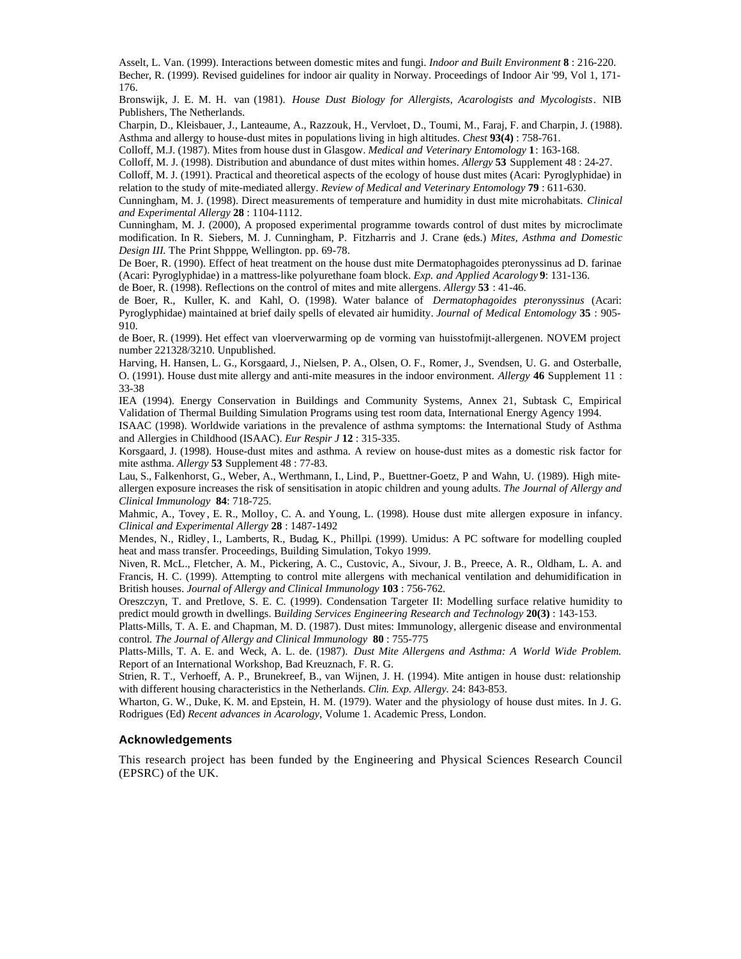Asselt, L. Van. (1999). Interactions between domestic mites and fungi. *Indoor and Built Environment* **8** : 216-220. Becher, R. (1999). Revised guidelines for indoor air quality in Norway. Proceedings of Indoor Air '99, Vol 1, 171- 176.

Bronswijk, J. E. M. H. van (1981). *House Dust Biology for Allergists, Acarologists and Mycologists*. NIB Publishers, The Netherlands.

Charpin, D., Kleisbauer, J., Lanteaume, A., Razzouk, H., Vervloet, D., Toumi, M., Faraj, F. and Charpin, J. (1988). Asthma and allergy to house-dust mites in populations living in high altitudes. *Chest* **93(4)** : 758-761.

Colloff, M.J. (1987). Mites from house dust in Glasgow. *Medical and Veterinary Entomology* **1**: 163-168.

Colloff, M. J. (1998). Distribution and abundance of dust mites within homes. *Allergy* **53** Supplement 48 : 24-27. Colloff, M. J. (1991). Practical and theoretical aspects of the ecology of house dust mites (Acari: Pyroglyphidae) in

relation to the study of mite-mediated allergy. *Review of Medical and Veterinary Entomology* **79** : 611-630.

Cunningham, M. J. (1998). Direct measurements of temperature and humidity in dust mite microhabitats. *Clinical and Experimental Allergy* **28** : 1104-1112.

Cunningham, M. J. (2000), A proposed experimental programme towards control of dust mites by microclimate modification. In R. Siebers, M. J. Cunningham, P. Fitzharris and J. Crane (eds.) *Mites, Asthma and Domestic Design III.* The Print Shpppe, Wellington. pp. 69-78.

De Boer, R. (1990). Effect of heat treatment on the house dust mite Dermatophagoides pteronyssinus ad D. farinae (Acari: Pyroglyphidae) in a mattress-like polyurethane foam block. *Exp. and Applied Acarology* **9**: 131-136.

de Boer, R. (1998). Reflections on the control of mites and mite allergens. *Allergy* **53** : 41-46.

de Boer, R., Kuller, K. and Kahl, O. (1998). Water balance of *Dermatophagoides pteronyssinus* (Acari: Pyroglyphidae) maintained at brief daily spells of elevated air humidity. *Journal of Medical Entomology* **35** : 905- 910.

de Boer, R. (1999). Het effect van vloerverwarming op de vorming van huisstofmijt-allergenen. NOVEM project number 221328/3210. Unpublished.

Harving, H. Hansen, L. G., Korsgaard, J., Nielsen, P. A., Olsen, O. F., Romer, J., Svendsen, U. G. and Osterballe, O. (1991). House dust mite allergy and anti-mite measures in the indoor environment. *Allergy* **46** Supplement 11 : 33-38

IEA (1994). Energy Conservation in Buildings and Community Systems, Annex 21, Subtask C, Empirical Validation of Thermal Building Simulation Programs using test room data, International Energy Agency 1994.

ISAAC (1998). Worldwide variations in the prevalence of asthma symptoms: the International Study of Asthma and Allergies in Childhood (ISAAC). *Eur Respir J* **12** : 315-335.

Korsgaard, J. (1998). House-dust mites and asthma. A review on house-dust mites as a domestic risk factor for mite asthma. *Allergy* **53** Supplement 48 : 77-83.

Lau, S., Falkenhorst, G., Weber, A., Werthmann, I., Lind, P., Buettner-Goetz, P and Wahn, U. (1989). High miteallergen exposure increases the risk of sensitisation in atopic children and young adults. *The Journal of Allergy and Clinical Immunology* **84**: 718-725.

Mahmic, A., Tovey , E. R., Molloy, C. A. and Young, L. (1998). House dust mite allergen exposure in infancy. *Clinical and Experimental Allergy* **28** : 1487-1492

Mendes, N., Ridley, I., Lamberts, R., Budag, K., Phillpi. (1999). Umidus: A PC software for modelling coupled heat and mass transfer. Proceedings, Building Simulation, Tokyo 1999.

Niven, R. McL., Fletcher, A. M., Pickering, A. C., Custovic, A., Sivour, J. B., Preece, A. R., Oldham, L. A. and Francis, H. C. (1999). Attempting to control mite allergens with mechanical ventilation and dehumidification in British houses. *Journal of Allergy and Clinical Immunology* **103** : 756-762.

Oreszczyn, T. and Pretlove, S. E. C. (1999). Condensation Targeter II: Modelling surface relative humidity to predict mould growth in dwellings. B*uilding Services Engineering Research and Technology* **20(3)** : 143-153.

Platts-Mills, T. A. E. and Chapman, M. D. (1987). Dust mites: Immunology, allergenic disease and environmental control*. The Journal of Allergy and Clinical Immunology* **80** : 755-775

Platts-Mills, T. A. E. and Weck, A. L. de. (1987). *Dust Mite Allergens and Asthma: A World Wide Problem.* Report of an International Workshop, Bad Kreuznach, F. R. G.

Strien, R. T., Verhoeff, A. P., Brunekreef, B., van Wijnen, J. H. (1994). Mite antigen in house dust: relationship with different housing characteristics in the Netherlands. *Clin. Exp. Allergy.* 24: 843-853.

Wharton, G. W., Duke, K. M. and Epstein, H. M. (1979). Water and the physiology of house dust mites. In J. G. Rodrigues (Ed) *Recent advances in Acarology*, Volume 1. Academic Press, London.

#### **Acknowledgements**

This research project has been funded by the Engineering and Physical Sciences Research Council (EPSRC) of the UK.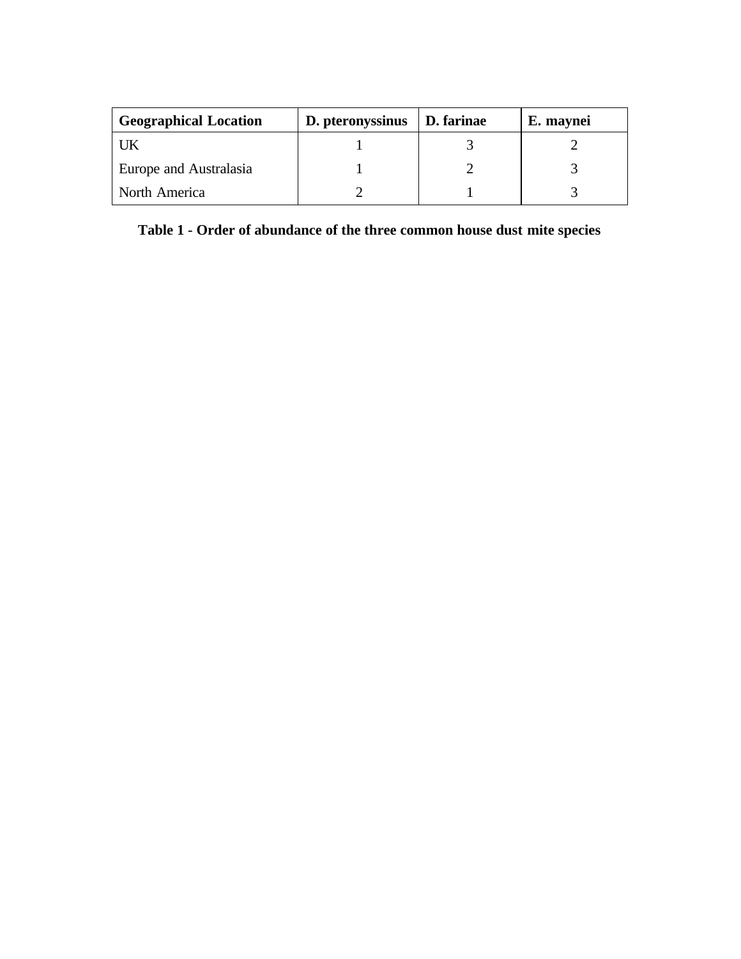| <b>Geographical Location</b> | D. pteronyssinus | D. farinae | E. maynei |
|------------------------------|------------------|------------|-----------|
| UK                           |                  |            |           |
| Europe and Australasia       |                  |            |           |
| North America                |                  |            |           |

**Table 1 - Order of abundance of the three common house dust mite species**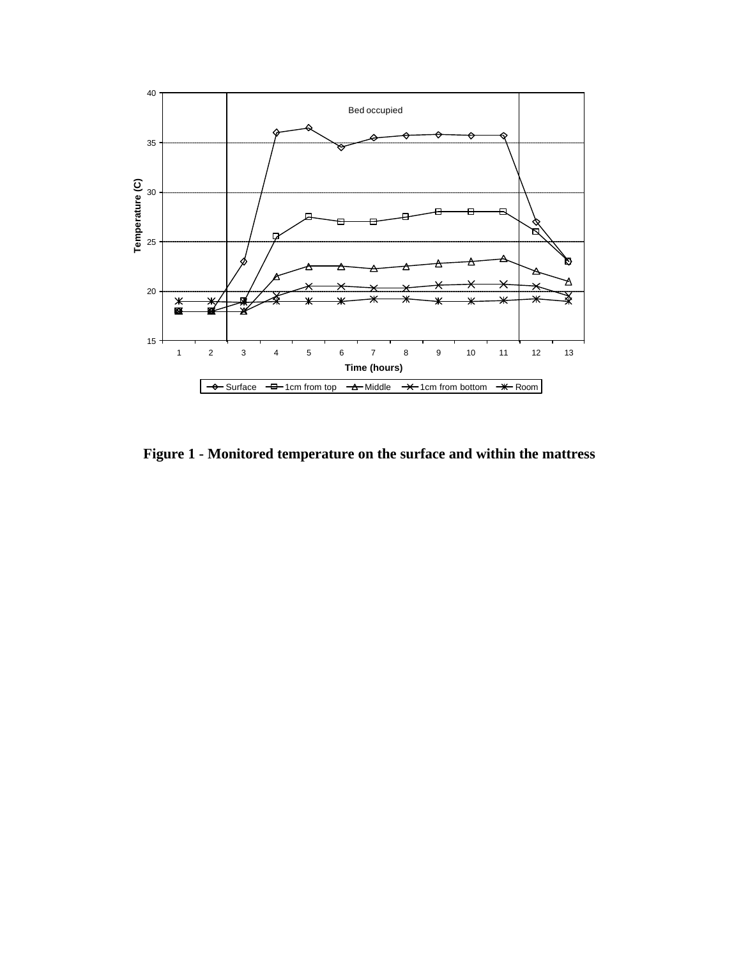

**Figure 1 - Monitored temperature on the surface and within the mattress**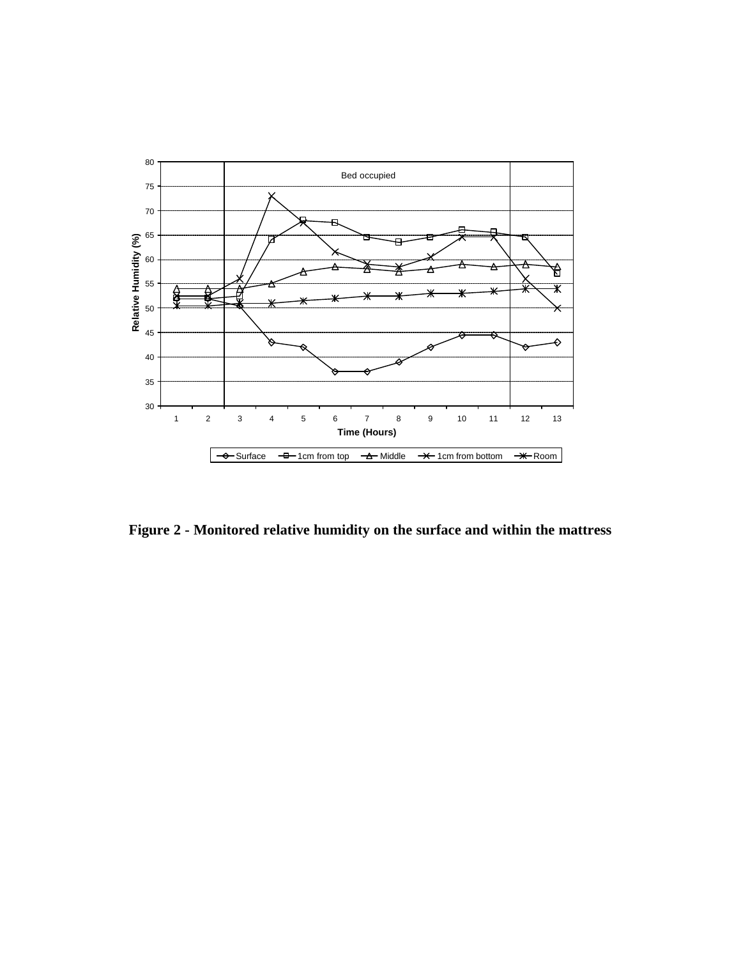

**Figure 2 - Monitored relative humidity on the surface and within the mattress**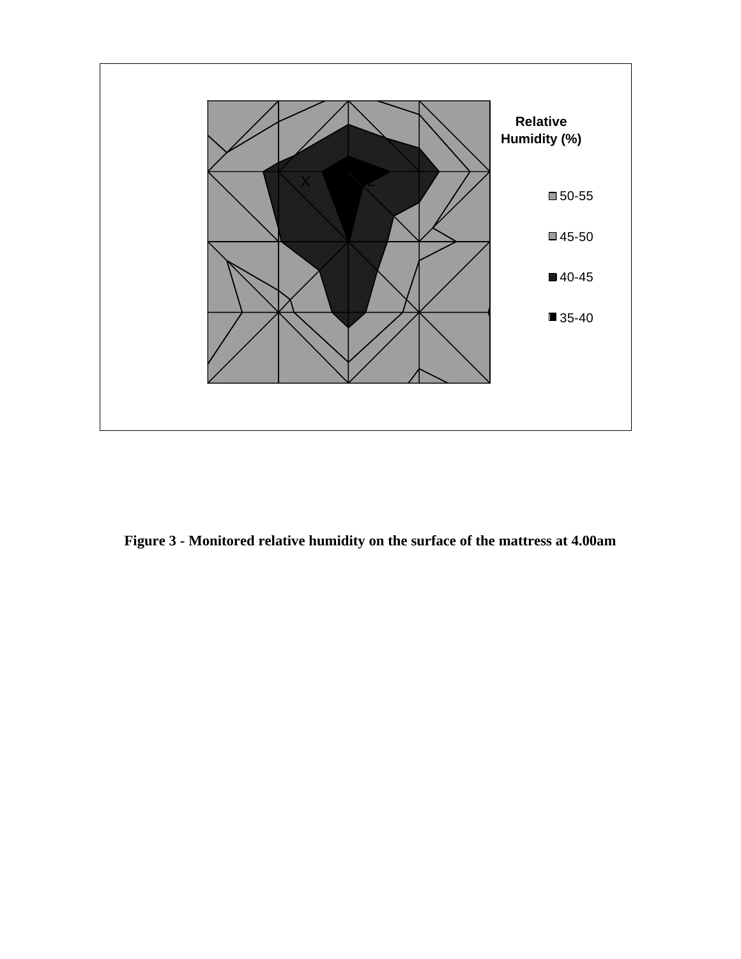

**Figure 3 - Monitored relative humidity on the surface of the mattress at 4.00am**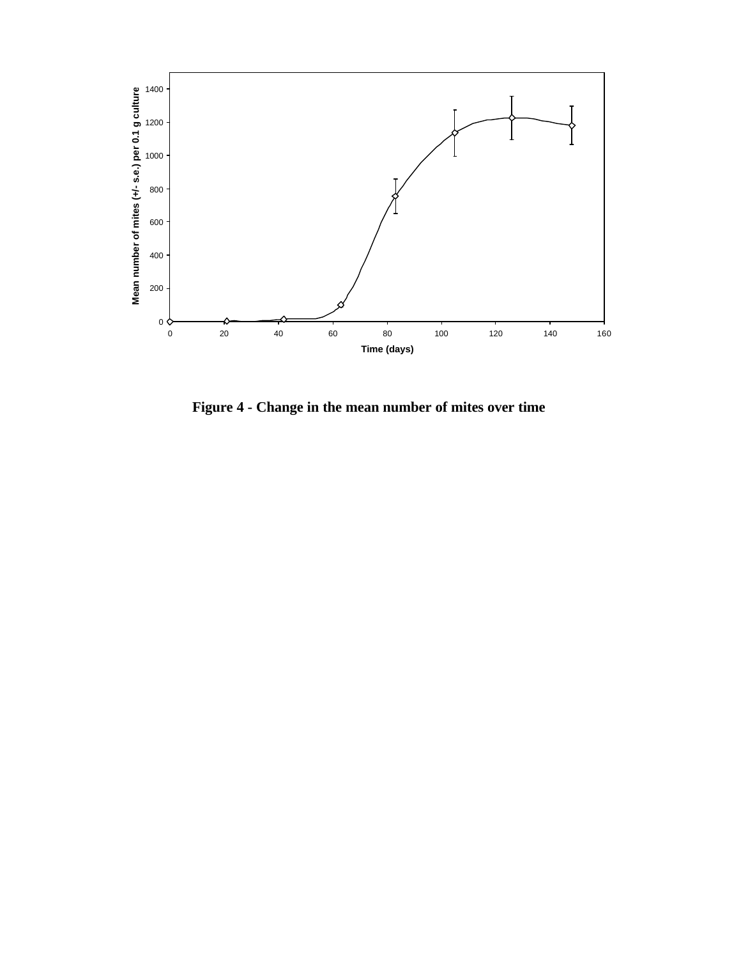

**Figure 4 - Change in the mean number of mites over time**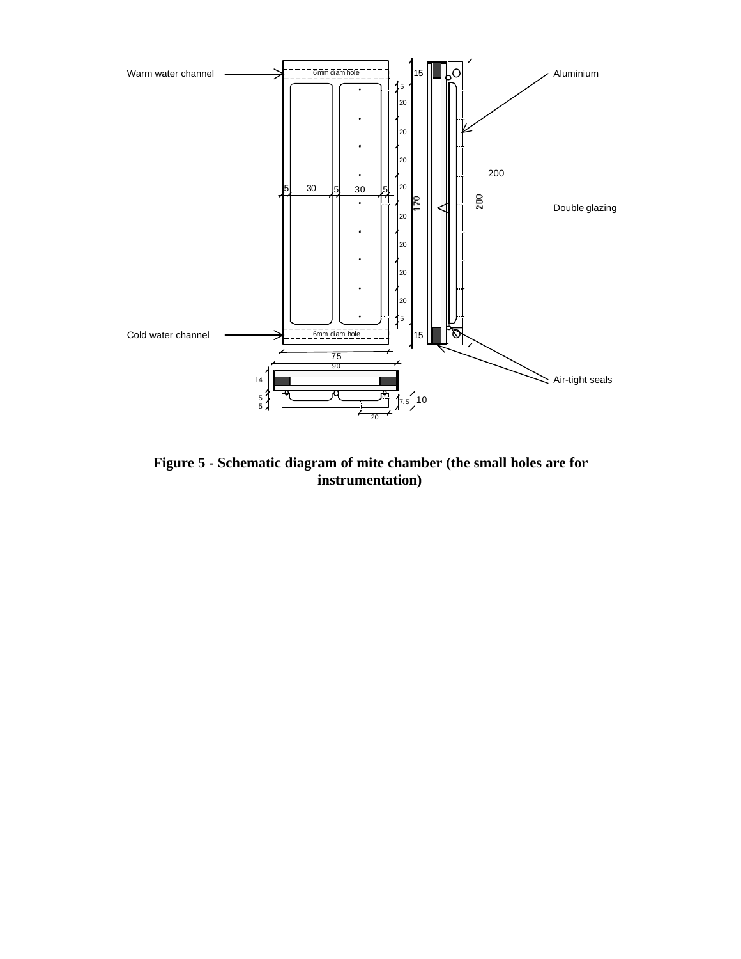

**Figure 5 - Schematic diagram of mite chamber (the small holes are for instrumentation)**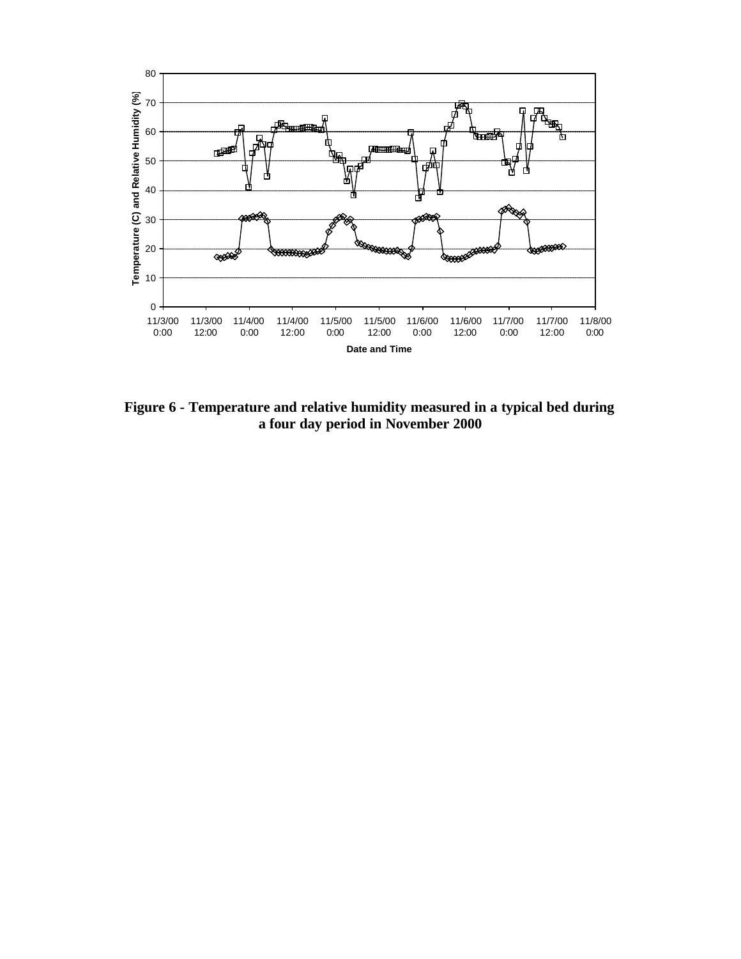

**Figure 6 - Temperature and relative humidity measured in a typical bed during a four day period in November 2000**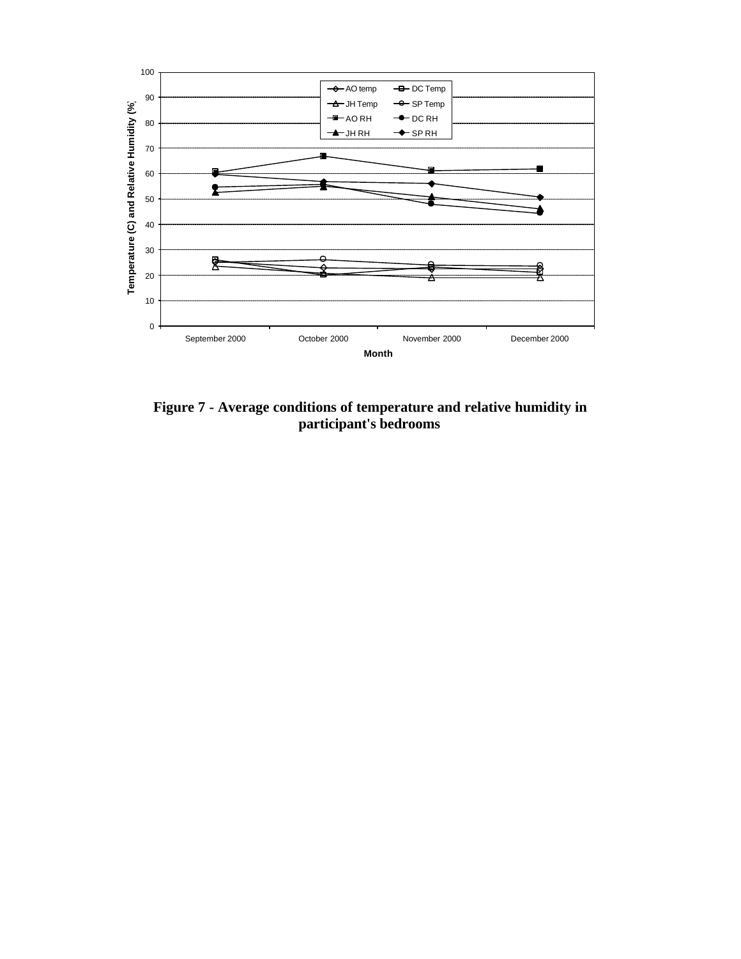

**Figure 7 - Average conditions of temperature and relative humidity in participant's bedrooms**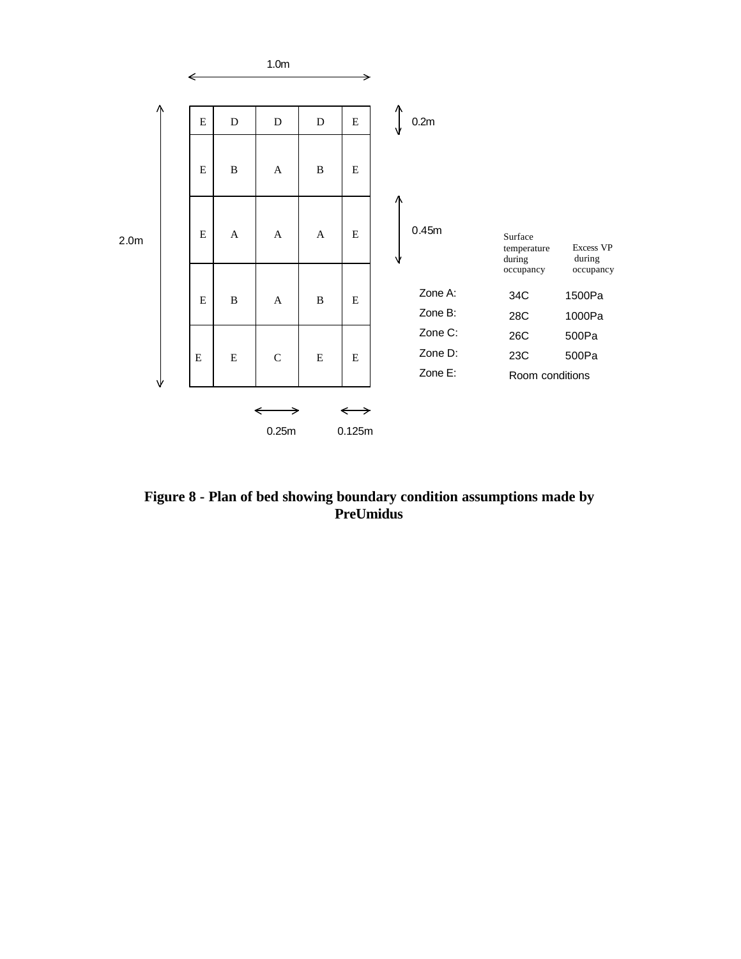

**Figure 8 - Plan of bed showing boundary condition assumptions made by PreUmidus**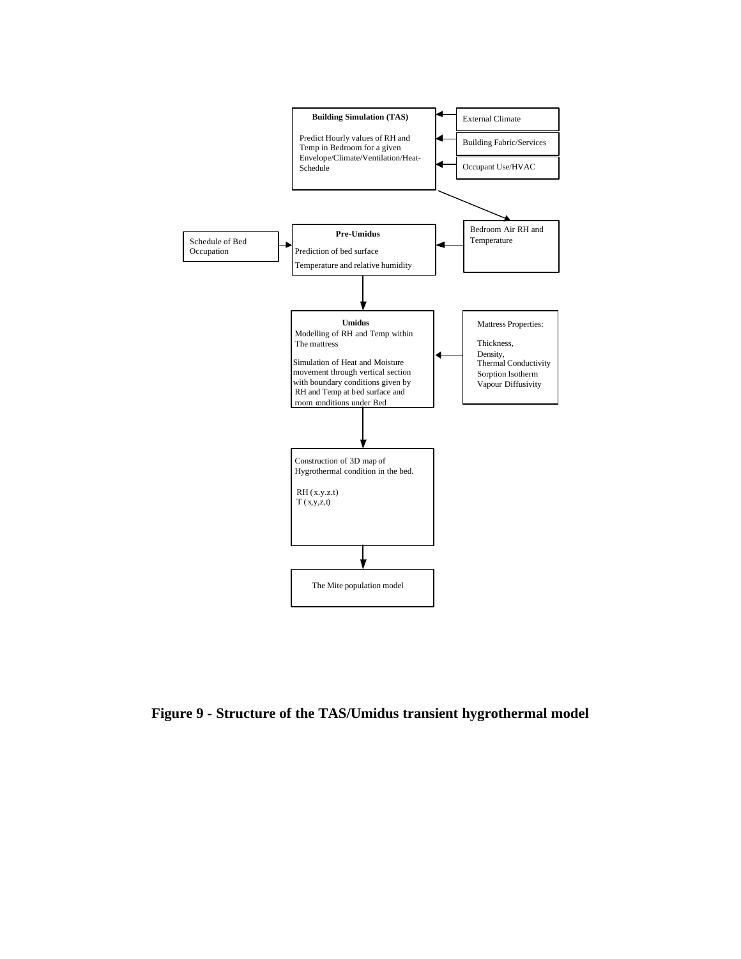

**Figure 9 - Structure of the TAS/Umidus transient hygrothermal model**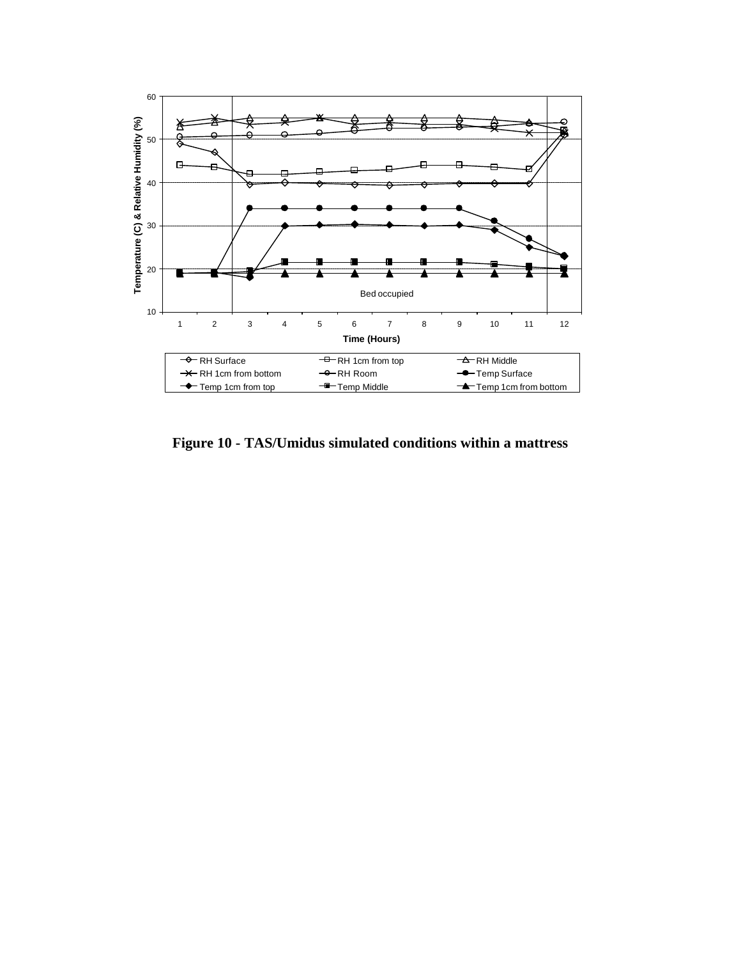

**Figure 10 - TAS/Umidus simulated conditions within a mattress**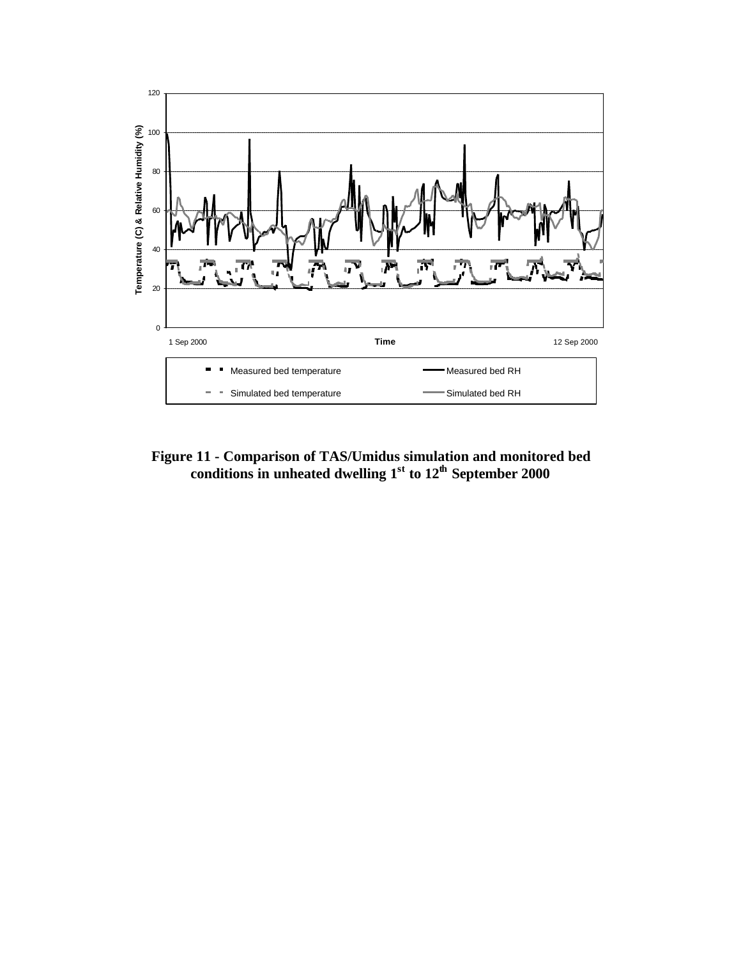

**Figure 11 - Comparison of TAS/Umidus simulation and monitored bed conditions in unheated dwelling 1st to 12th September 2000**